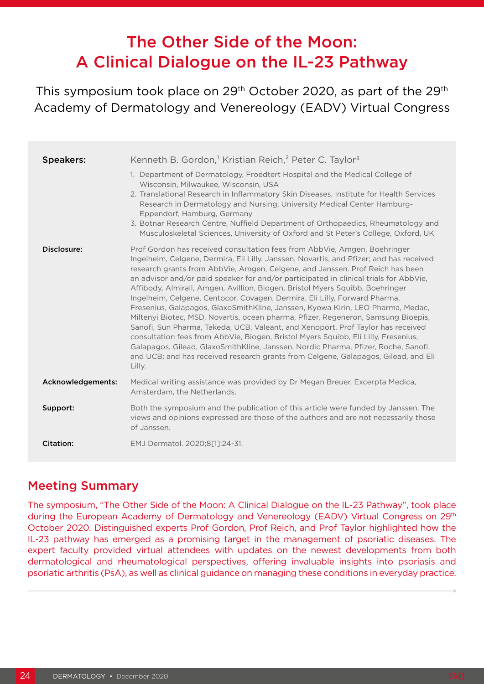# The Other Side of the Moon: A Clinical Dialogue on the IL-23 Pathway

This symposium took place on 29<sup>th</sup> October 2020, as part of the 29<sup>th</sup> Academy of Dermatology and Venereology (EADV) Virtual Congress

| <b>Speakers:</b>  | Kenneth B. Gordon, <sup>1</sup> Kristian Reich, <sup>2</sup> Peter C. Taylor <sup>3</sup>                                                                                                                                                                                                                                                                                                                                                                                                                                                                                                                                                                                                                                                                                                                                                                                                                                                                                                                                                             |
|-------------------|-------------------------------------------------------------------------------------------------------------------------------------------------------------------------------------------------------------------------------------------------------------------------------------------------------------------------------------------------------------------------------------------------------------------------------------------------------------------------------------------------------------------------------------------------------------------------------------------------------------------------------------------------------------------------------------------------------------------------------------------------------------------------------------------------------------------------------------------------------------------------------------------------------------------------------------------------------------------------------------------------------------------------------------------------------|
|                   | 1. Department of Dermatology, Froedtert Hospital and the Medical College of<br>Wisconsin, Milwaukee, Wisconsin, USA<br>2. Translational Research in Inflammatory Skin Diseases, Institute for Health Services<br>Research in Dermatology and Nursing, University Medical Center Hamburg-<br>Eppendorf, Hamburg, Germany<br>3. Botnar Research Centre, Nuffield Department of Orthopaedics, Rheumatology and<br>Musculoskeletal Sciences, University of Oxford and St Peter's College, Oxford, UK                                                                                                                                                                                                                                                                                                                                                                                                                                                                                                                                                      |
| Disclosure:       | Prof Gordon has received consultation fees from AbbVie, Amgen, Boehringer<br>Ingelheim, Celgene, Dermira, Eli Lilly, Janssen, Novartis, and Pfizer; and has received<br>research grants from AbbVie, Amgen, Celgene, and Janssen. Prof Reich has been<br>an advisor and/or paid speaker for and/or participated in clinical trials for AbbVie,<br>Affibody, Almirall, Amgen, Avillion, Biogen, Bristol Myers Squibb, Boehringer<br>Ingelheim, Celgene, Centocor, Covagen, Dermira, Eli Lilly, Forward Pharma,<br>Fresenius, Galapagos, GlaxoSmithKline, Janssen, Kyowa Kirin, LEO Pharma, Medac,<br>Miltenyi Biotec, MSD, Novartis, ocean pharma, Pfizer, Regeneron, Samsung Bioepis,<br>Sanofi, Sun Pharma, Takeda, UCB, Valeant, and Xenoport. Prof Taylor has received<br>consultation fees from AbbVie, Biogen, Bristol Myers Squibb, Eli Lilly, Fresenius,<br>Galapagos, Gilead, GlaxoSmithKline, Janssen, Nordic Pharma, Pfizer, Roche, Sanofi,<br>and UCB; and has received research grants from Celgene, Galapagos, Gilead, and Eli<br>Lilly. |
| Acknowledgements: | Medical writing assistance was provided by Dr Megan Breuer, Excerpta Medica,<br>Amsterdam, the Netherlands.                                                                                                                                                                                                                                                                                                                                                                                                                                                                                                                                                                                                                                                                                                                                                                                                                                                                                                                                           |
| Support:          | Both the symposium and the publication of this article were funded by Janssen. The<br>views and opinions expressed are those of the authors and are not necessarily those<br>of Janssen.                                                                                                                                                                                                                                                                                                                                                                                                                                                                                                                                                                                                                                                                                                                                                                                                                                                              |
| <b>Citation:</b>  | EMJ Dermatol. 2020;8[1]:24-31.                                                                                                                                                                                                                                                                                                                                                                                                                                                                                                                                                                                                                                                                                                                                                                                                                                                                                                                                                                                                                        |

# Meeting Summary

The symposium, "The Other Side of the Moon: A Clinical Dialogue on the IL-23 Pathway", took place during the European Academy of Dermatology and Venereology (EADV) Virtual Congress on 29<sup>th</sup> October 2020. Distinguished experts Prof Gordon, Prof Reich, and Prof Taylor highlighted how the IL-23 pathway has emerged as a promising target in the management of psoriatic diseases. The expert faculty provided virtual attendees with updates on the newest developments from both dermatological and rheumatological perspectives, offering invaluable insights into psoriasis and psoriatic arthritis (PsA), as well as clinical guidance on managing these conditions in everyday practice.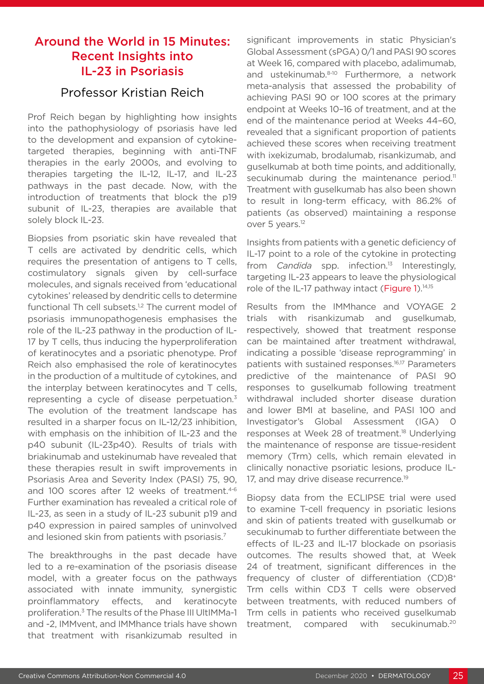# Around the World in 15 Minutes: Recent Insights into IL-23 in Psoriasis

## Professor Kristian Reich

Prof Reich began by highlighting how insights into the pathophysiology of psoriasis have led to the development and expansion of cytokinetargeted therapies, beginning with anti-TNF therapies in the early 2000s, and evolving to therapies targeting the IL-12, IL-17, and IL-23 pathways in the past decade. Now, with the introduction of treatments that block the p19 subunit of IL-23, therapies are available that solely block IL-23.

Biopsies from psoriatic skin have revealed that T cells are activated by dendritic cells, which requires the presentation of antigens to T cells, costimulatory signals given by cell-surface molecules, and signals received from 'educational cytokines' released by dendritic cells to determine functional Th cell subsets.<sup>1,2</sup> The current model of psoriasis immunopathogenesis emphasises the role of the IL-23 pathway in the production of IL-17 by T cells, thus inducing the hyperproliferation of keratinocytes and a psoriatic phenotype. Prof Reich also emphasised the role of keratinocytes in the production of a multitude of cytokines, and the interplay between keratinocytes and T cells, representing a cycle of disease perpetuation.<sup>3</sup> The evolution of the treatment landscape has resulted in a sharper focus on IL-12/23 inhibition, with emphasis on the inhibition of IL-23 and the p40 subunit (IL-23p40). Results of trials with briakinumab and ustekinumab have revealed that these therapies result in swift improvements in Psoriasis Area and Severity Index (PASI) 75, 90, and 100 scores after 12 weeks of treatment.<sup>4-6</sup> Further examination has revealed a critical role of IL-23, as seen in a study of IL-23 subunit p19 and p40 expression in paired samples of uninvolved and lesioned skin from patients with psoriasis.<sup>7</sup>

The breakthroughs in the past decade have led to a re-examination of the psoriasis disease model, with a greater focus on the pathways associated with innate immunity, synergistic proinflammatory effects, and keratinocyte proliferation.3 The results of the Phase III UltIMMa-1 and -2, IMMvent, and IMMhance trials have shown that treatment with risankizumab resulted in

significant improvements in static Physician's Global Assessment (sPGA) 0/1 and PASI 90 scores at Week 16, compared with placebo, adalimumab, and ustekinumab.<sup>8-10</sup> Furthermore, a network meta-analysis that assessed the probability of achieving PASI 90 or 100 scores at the primary endpoint at Weeks 10–16 of treatment, and at the end of the maintenance period at Weeks 44–60, revealed that a significant proportion of patients achieved these scores when receiving treatment with ixekizumab, brodalumab, risankizumab, and guselkumab at both time points, and additionally, secukinumab during the maintenance period.<sup>11</sup> Treatment with guselkumab has also been shown to result in long-term efficacy, with 86.2% of patients (as observed) maintaining a response over 5 years.<sup>12</sup>

Insights from patients with a genetic deficiency of IL-17 point to a role of the cytokine in protecting from *Candida* spp. infection.<sup>13</sup> Interestingly, targeting IL-23 appears to leave the physiological role of the IL-17 pathway intact (Figure 1).<sup>14,15</sup>

Results from the IMMhance and VOYAGE 2 trials with risankizumab and guselkumab, respectively, showed that treatment response can be maintained after treatment withdrawal, indicating a possible 'disease reprogramming' in patients with sustained responses.<sup>16,17</sup> Parameters predictive of the maintenance of PASI 90 responses to guselkumab following treatment withdrawal included shorter disease duration and lower BMI at baseline, and PASI 100 and Investigator's Global Assessment (IGA) 0 responses at Week 28 of treatment.<sup>18</sup> Underlying the maintenance of response are tissue-resident memory (Trm) cells, which remain elevated in clinically nonactive psoriatic lesions, produce IL-17, and may drive disease recurrence.<sup>19</sup>

Biopsy data from the ECLIPSE trial were used to examine T-cell frequency in psoriatic lesions and skin of patients treated with guselkumab or secukinumab to further differentiate between the effects of IL-23 and IL-17 blockade on psoriasis outcomes. The results showed that, at Week 24 of treatment, significant differences in the frequency of cluster of differentiation (CD)8<sup>+</sup> Trm cells within CD3 T cells were observed between treatments, with reduced numbers of Trm cells in patients who received guselkumab treatment, compared with secukinumab.20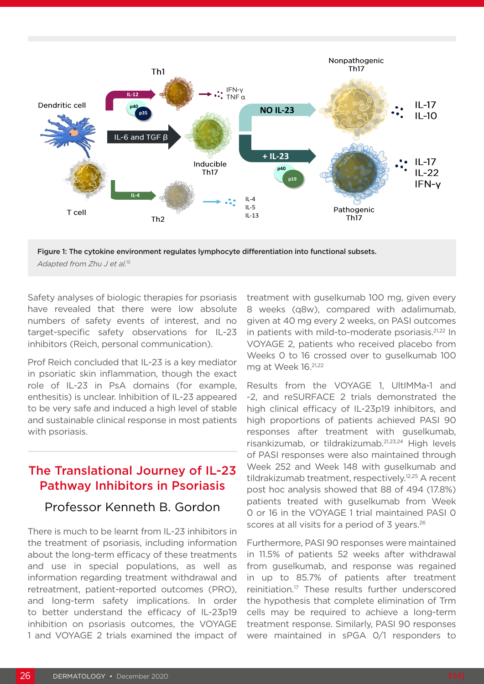

Figure 1: The cytokine environment regulates lymphocyte differentiation into functional subsets. *Adapted from Zhu J et al.15*

Safety analyses of biologic therapies for psoriasis have revealed that there were low absolute numbers of safety events of interest, and no target-specific safety observations for IL-23 inhibitors (Reich, personal communication).

Prof Reich concluded that IL-23 is a key mediator in psoriatic skin inflammation, though the exact role of IL-23 in PsA domains (for example, enthesitis) is unclear. Inhibition of IL-23 appeared to be very safe and induced a high level of stable and sustainable clinical response in most patients with psoriasis.

### The Translational Journey of IL-23 Pathway Inhibitors in Psoriasis

#### Professor Kenneth B. Gordon

There is much to be learnt from IL-23 inhibitors in the treatment of psoriasis, including information about the long-term efficacy of these treatments and use in special populations, as well as information regarding treatment withdrawal and retreatment, patient-reported outcomes (PRO), and long-term safety implications. In order to better understand the efficacy of IL-23p19 inhibition on psoriasis outcomes, the VOYAGE 1 and VOYAGE 2 trials examined the impact of treatment with guselkumab 100 mg, given every 8 weeks (q8w), compared with adalimumab, given at 40 mg every 2 weeks, on PASI outcomes in patients with mild-to-moderate psoriasis.<sup>21,22</sup> In VOYAGE 2, patients who received placebo from Weeks 0 to 16 crossed over to guselkumab 100 mg at Week 16.21,22

Results from the VOYAGE 1, UltIMMa-1 and -2, and reSURFACE 2 trials demonstrated the high clinical efficacy of IL-23p19 inhibitors, and high proportions of patients achieved PASI 90 responses after treatment with guselkumab, risankizumab, or tildrakizumab.21,23,24 High levels of PASI responses were also maintained through Week 252 and Week 148 with guselkumab and tildrakizumab treatment, respectively.<sup>12,25</sup> A recent post hoc analysis showed that 88 of 494 (17.8%) patients treated with guselkumab from Week 0 or 16 in the VOYAGE 1 trial maintained PASI 0 scores at all visits for a period of 3 years.<sup>26</sup>

Furthermore, PASI 90 responses were maintained in 11.5% of patients 52 weeks after withdrawal from guselkumab, and response was regained in up to 85.7% of patients after treatment reinitiation.17 These results further underscored the hypothesis that complete elimination of Trm cells may be required to achieve a long-term treatment response. Similarly, PASI 90 responses were maintained in sPGA 0/1 responders to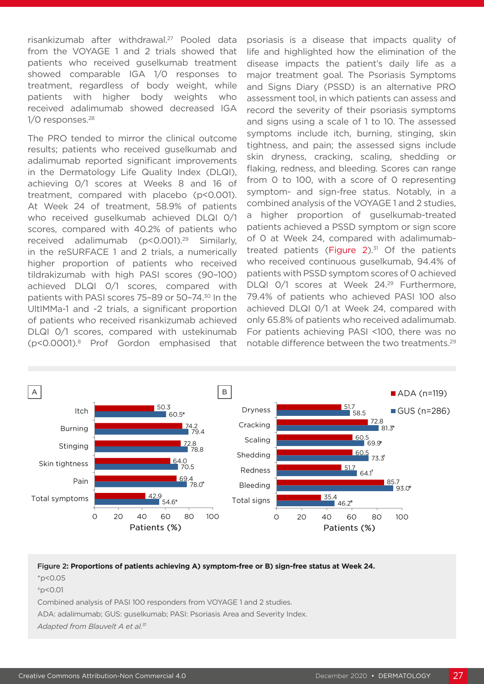risankizumab after withdrawal.<sup>27</sup> Pooled data from the VOYAGE 1 and 2 trials showed that patients who received guselkumab treatment showed comparable IGA 1/0 responses to treatment, regardless of body weight, while patients with higher body weights who received adalimumab showed decreased IGA 1/0 responses.<sup>28</sup>

The PRO tended to mirror the clinical outcome results; patients who received guselkumab and adalimumab reported significant improvements in the Dermatology Life Quality Index (DLQI), achieving 0/1 scores at Weeks 8 and 16 of treatment, compared with placebo (p<0.001). At Week 24 of treatment, 58.9% of patients who received guselkumab achieved DLQI 0/1 scores, compared with 40.2% of patients who received adalimumab (p<0.001).29 Similarly, in the reSURFACE 1 and 2 trials, a numerically higher proportion of patients who received tildrakizumab with high PASI scores (90–100) achieved DLQI 0/1 scores, compared with patients with PASI scores 75–89 or 50–74.30 In the UltIMMa-1 and -2 trials, a significant proportion of patients who received risankizumab achieved DLQI 0/1 scores, compared with ustekinumab (p<0.0001).8 Prof Gordon emphasised that psoriasis is a disease that impacts quality of life and highlighted how the elimination of the disease impacts the patient's daily life as a major treatment goal. The Psoriasis Symptoms and Signs Diary (PSSD) is an alternative PRO assessment tool, in which patients can assess and record the severity of their psoriasis symptoms and signs using a scale of 1 to 10. The assessed symptoms include itch, burning, stinging, skin tightness, and pain; the assessed signs include skin dryness, cracking, scaling, shedding or flaking, redness, and bleeding. Scores can range from 0 to 100, with a score of 0 representing symptom- and sign-free status. Notably, in a combined analysis of the VOYAGE 1 and 2 studies, a higher proportion of guselkumab-treated patients achieved a PSSD symptom or sign score of 0 at Week 24, compared with adalimumabtreated patients (Figure  $2$ ).<sup>31</sup> Of the patients who received continuous guselkumab, 94.4% of patients with PSSD symptom scores of 0 achieved DLQI 0/1 scores at Week 24.<sup>29</sup> Furthermore, 79.4% of patients who achieved PASI 100 also achieved DLQI 0/1 at Week 24, compared with only 65.8% of patients who received adalimumab. For patients achieving PASI <100, there was no notable difference between the two treatments.<sup>29</sup>



#### Figure 2**: Proportions of patients achieving A) symptom-free or B) sign-free status at Week 24.**

\*p<0.05

†p<0.01

Combined analysis of PASI 100 responders from VOYAGE 1 and 2 studies.

ADA: adalimumab; GUS: guselkumab; PASI: Psoriasis Area and Severity Index.

*Adapted from Blauvelt A et al.31*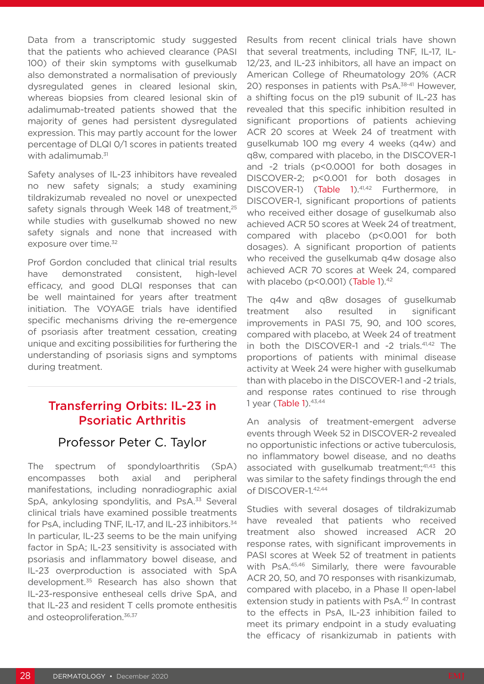Data from a transcriptomic study suggested that the patients who achieved clearance (PASI 100) of their skin symptoms with guselkumab also demonstrated a normalisation of previously dysregulated genes in cleared lesional skin, whereas biopsies from cleared lesional skin of adalimumab-treated patients showed that the majority of genes had persistent dysregulated expression. This may partly account for the lower percentage of DLQI 0/1 scores in patients treated with adalimumab.<sup>31</sup>

Safety analyses of IL-23 inhibitors have revealed no new safety signals; a study examining tildrakizumab revealed no novel or unexpected safety signals through Week 148 of treatment,<sup>25</sup> while studies with guselkumab showed no new safety signals and none that increased with exposure over time.<sup>32</sup>

Prof Gordon concluded that clinical trial results have demonstrated consistent, high-level efficacy, and good DLQI responses that can be well maintained for years after treatment initiation. The VOYAGE trials have identified specific mechanisms driving the re-emergence of psoriasis after treatment cessation, creating unique and exciting possibilities for furthering the understanding of psoriasis signs and symptoms during treatment.

# Transferring Orbits: IL-23 in Psoriatic Arthritis

#### Professor Peter C. Taylor

The spectrum of spondyloarthritis (SpA) encompasses both axial and peripheral manifestations, including nonradiographic axial SpA, ankylosing spondylitis, and PsA.<sup>33</sup> Several clinical trials have examined possible treatments for PsA, including TNF, IL-17, and IL-23 inhibitors.<sup>34</sup> In particular, IL-23 seems to be the main unifying factor in SpA; IL-23 sensitivity is associated with psoriasis and inflammatory bowel disease, and IL-23 overproduction is associated with SpA development.35 Research has also shown that IL-23-responsive entheseal cells drive SpA, and that IL-23 and resident T cells promote enthesitis and osteoproliferation.<sup>36,37</sup>

Results from recent clinical trials have shown that several treatments, including TNF, IL-17, IL-12/23, and IL-23 inhibitors, all have an impact on American College of Rheumatology 20% (ACR 20) responses in patients with PsA.<sup>38-41</sup> However, a shifting focus on the p19 subunit of IL-23 has revealed that this specific inhibition resulted in significant proportions of patients achieving ACR 20 scores at Week 24 of treatment with guselkumab 100 mg every 4 weeks (q4w) and q8w, compared with placebo, in the DISCOVER-1 and -2 trials (p<0.0001 for both dosages in DISCOVER-2; p<0.001 for both dosages in DISCOVER-1) (Table 1).<sup>41,42</sup> Furthermore, in DISCOVER-1, significant proportions of patients who received either dosage of guselkumab also achieved ACR 50 scores at Week 24 of treatment, compared with placebo (p<0.001 for both dosages). A significant proportion of patients who received the guselkumab q4w dosage also achieved ACR 70 scores at Week 24, compared with placebo ( $p$ <0.001) (Table 1). $42$ 

The q4w and q8w dosages of guselkumab treatment also resulted in significant improvements in PASI 75, 90, and 100 scores, compared with placebo, at Week 24 of treatment in both the DISCOVER-1 and -2 trials.<sup>41,42</sup> The proportions of patients with minimal disease activity at Week 24 were higher with guselkumab than with placebo in the DISCOVER-1 and -2 trials, and response rates continued to rise through 1 year (Table 1). 43,44

An analysis of treatment-emergent adverse events through Week 52 in DISCOVER-2 revealed no opportunistic infections or active tuberculosis, no inflammatory bowel disease, and no deaths associated with guselkumab treatment;<sup>41,43</sup> this was similar to the safety findings through the end of DISCOVER-1.42,44

Studies with several dosages of tildrakizumab have revealed that patients who received treatment also showed increased ACR 20 response rates, with significant improvements in PASI scores at Week 52 of treatment in patients with PsA.45,46 Similarly, there were favourable ACR 20, 50, and 70 responses with risankizumab, compared with placebo, in a Phase II open-label extension study in patients with PsA.<sup>47</sup> In contrast to the effects in PsA, IL-23 inhibition failed to meet its primary endpoint in a study evaluating the efficacy of risankizumab in patients with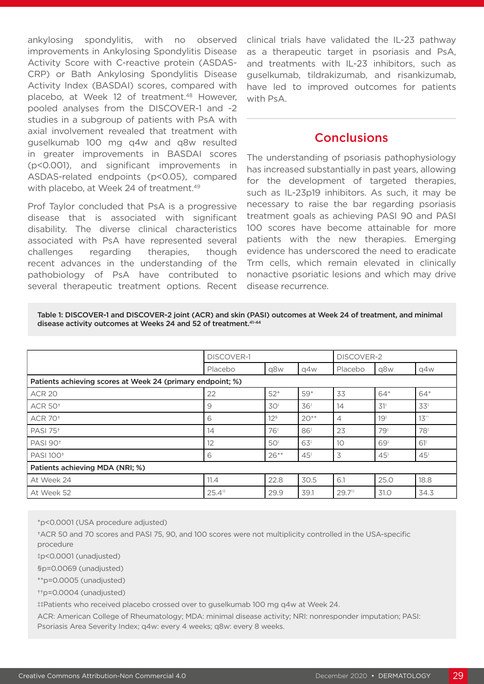ankylosing spondylitis, with no observed improvements in Ankylosing Spondylitis Disease Activity Score with C-reactive protein (ASDAS-CRP) or Bath Ankylosing Spondylitis Disease Activity Index (BASDAI) scores, compared with placebo, at Week 12 of treatment.<sup>48</sup> However, pooled analyses from the DISCOVER-1 and -2 studies in a subgroup of patients with PsA with axial involvement revealed that treatment with guselkumab 100 mg q4w and q8w resulted in greater improvements in BASDAI scores (p<0.001), and significant improvements in ASDAS-related endpoints (p<0.05), compared with placebo, at Week 24 of treatment.<sup>49</sup>

Prof Taylor concluded that PsA is a progressive disease that is associated with significant disability. The diverse clinical characteristics associated with PsA have represented several challenges regarding therapies, though recent advances in the understanding of the pathobiology of PsA have contributed to several therapeutic treatment options. Recent

clinical trials have validated the IL-23 pathway as a therapeutic target in psoriasis and PsA, and treatments with IL-23 inhibitors, such as guselkumab, tildrakizumab, and risankizumab, have led to improved outcomes for patients with PsA.

#### **Conclusions**

The understanding of psoriasis pathophysiology has increased substantially in past years, allowing for the development of targeted therapies, such as IL-23p19 inhibitors. As such, it may be necessary to raise the bar regarding psoriasis treatment goals as achieving PASI 90 and PASI 100 scores have become attainable for more patients with the new therapies. Emerging evidence has underscored the need to eradicate Trm cells, which remain elevated in clinically nonactive psoriatic lesions and which may drive disease recurrence.

Table 1: DISCOVER-1 and DISCOVER-2 joint (ACR) and skin (PASI) outcomes at Week 24 of treatment, and minimal disease activity outcomes at Weeks 24 and 52 of treatment.<sup>41-44</sup>

|                                                            | <b>DISCOVER-1</b>    |                 |        | <b>DISCOVER-2</b>    |                 |                                       |  |  |
|------------------------------------------------------------|----------------------|-----------------|--------|----------------------|-----------------|---------------------------------------|--|--|
|                                                            | Placebo              | q8w             | q4w    | Placebo              | q8w             | q4w                                   |  |  |
| Patients achieving scores at Week 24 (primary endpoint; %) |                      |                 |        |                      |                 |                                       |  |  |
| <b>ACR 20</b>                                              | 22                   | $52*$           | 59*    | 33                   | 64*             | 64*                                   |  |  |
| <b>ACR 50<sup>+</sup></b>                                  | 9                    | 30 <sup>‡</sup> | 36     | 14                   | $31^{\circ}$    | 33 <sup>‡</sup>                       |  |  |
| <b>ACR 70<sup>+</sup></b>                                  | 6                    | 12 <sup>s</sup> | $20**$ | $\overline{4}$       | 19 <sup>‡</sup> | $13^{+1}$                             |  |  |
| <b>PASI 75<sup>+</sup></b>                                 | 14                   | 76 <sup>1</sup> | 86     | 23                   | 79 <sup>‡</sup> | 78                                    |  |  |
| <b>PASI 90<sup>+</sup></b>                                 | $12 \overline{ }$    | 50 <sup>†</sup> | 63     | 10                   | 69              | $61$ <sup><math>\ddagger</math></sup> |  |  |
| <b>PASI 100<sup>+</sup></b>                                | 6                    | $26***$         | $45*$  | 3                    | 45 <sup>‡</sup> | $45*$                                 |  |  |
| Patients achieving MDA (NRI; %)                            |                      |                 |        |                      |                 |                                       |  |  |
| At Week 24                                                 | 11.4                 | 22.8            | 30.5   | 6.1                  | 25.0            | 18.8                                  |  |  |
| At Week 52                                                 | $25.4$ <sup>#1</sup> | 29.9            | 39.1   | $29.7$ <sup>##</sup> | 31.0            | 34.3                                  |  |  |

\*p<0.0001 (USA procedure adjusted)

†ACR 50 and 70 scores and PASI 75, 90, and 100 scores were not multiplicity controlled in the USA-specific procedure

‡p<0.0001 (unadjusted)

§p=0.0069 (unadjusted)

\*\*p=0.0005 (unadjusted)

††p=0.0004 (unadjusted)

‡‡Patients who received placebo crossed over to guselkumab 100 mg q4w at Week 24.

ACR: American College of Rheumatology; MDA: minimal disease activity; NRI: nonresponder imputation; PASI: Psoriasis Area Severity Index; q4w: every 4 weeks; q8w: every 8 weeks.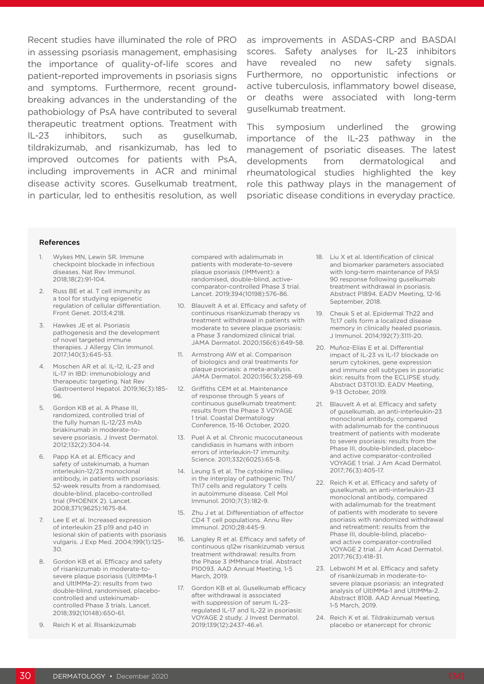Recent studies have illuminated the role of PRO in assessing psoriasis management, emphasising the importance of quality-of-life scores and patient-reported improvements in psoriasis signs and symptoms. Furthermore, recent groundbreaking advances in the understanding of the pathobiology of PsA have contributed to several therapeutic treatment options. Treatment with IL-23 inhibitors, such as guselkumab, tildrakizumab, and risankizumab, has led to improved outcomes for patients with PsA, including improvements in ACR and minimal disease activity scores. Guselkumab treatment, in particular, led to enthesitis resolution, as well as improvements in ASDAS-CRP and BASDAI scores. Safety analyses for IL-23 inhibitors have revealed no new safety signals. Furthermore, no opportunistic infections or active tuberculosis, inflammatory bowel disease, or deaths were associated with long-term guselkumab treatment.

This symposium underlined the growing importance of the IL-23 pathway in the management of psoriatic diseases. The latest developments from dermatological and rheumatological studies highlighted the key role this pathway plays in the management of psoriatic disease conditions in everyday practice.

#### **References**

- 1. Wykes MN, Lewin SR. Immune checkpoint blockade in infectious diseases. Nat Rev Immunol. 2018;18(2):91-104.
- 2. Russ BE et al. T cell immunity as a tool for studying epigenetic regulation of cellular differentiation. Front Genet. 2013;4:218.
- 3. Hawkes JE et al. Psoriasis pathogenesis and the development of novel targeted immune therapies. J Allergy Clin Immunol. 2017;140(3):645-53.
- 4. Moschen AR et al. IL-12, IL-23 and IL-17 in IBD: immunobiology and therapeutic targeting. Nat Rev Gastroenterol Hepatol. 2019;16(3):185- 96.
- 5. Gordon KB et al. A Phase III, randomized, controlled trial of the fully human IL-12/23 mAb briakinumab in moderate-tosevere psoriasis. J Invest Dermatol. 2012;132(2):304-14.
- 6. Papp KA et al. Efficacy and safety of ustekinumab, a human interleukin-12/23 monoclonal antibody, in patients with psoriasis: 52-week results from a randomised, double-blind, placebo-controlled trial (PHOENIX 2). Lancet. 2008;371(9625):1675-84.
- 7. Lee E et al. Increased expression of interleukin 23 p19 and p40 in lesional skin of patients with psoriasis vulgaris. J Exp Med. 2004;199(1):125- 30.
- 8. Gordon KB et al. Efficacy and safety of risankizumab in moderate-tosevere plaque psoriasis (UltIMMa-1 and UltIMMa-2): results from two double-blind, randomised, placebocontrolled and ustekinumabcontrolled Phase 3 trials. Lancet. 2018;392(10148):650-61.
- 9. Reich K et al. Risankizumab

compared with adalimumab in patients with moderate-to-severe plaque psoriasis (IMMvent): a randomised, double-blind, activecomparator-controlled Phase 3 trial. Lancet. 2019;394(10198):576-86.

- 10. Blauvelt A et al. Efficacy and safety of continuous risankizumab therapy vs treatment withdrawal in patients with moderate to severe plaque psoriasis: a Phase 3 randomized clinical trial. JAMA Dermatol. 2020;156(6):649-58.
- 11. Armstrong AW et al. Comparison of biologics and oral treatments for plaque psoriasis: a meta-analysis. JAMA Dermatol. 2020;156(3):258-69.
- 12. Griffiths CEM et al. Maintenance of response through 5 years of continuous guselkumab treatment: results from the Phase 3 VOYAGE 1 trial. Coastal Dermatology Conference, 15-16 October, 2020.
- 13. Puel A et al. Chronic mucocutaneous candidiasis in humans with inborn errors of interleukin-17 immunity. Science. 2011;332(6025):65-8.
- 14. Leung S et al. The cytokine milieu in the interplay of pathogenic Th1/ Th17 cells and regulatory T cells in autoimmune disease. Cell Mol Immunol. 2010;7(3):182-9.
- 15. Zhu J et al. Differentiation of effector CD4 T cell populations. Annu Rev Immunol. 2010;28:445-9.
- 16. Langley R et al. Efficacy and safety of continuous q12w risankizumab versus treatment withdrawal: results from the Phase 3 IMMhance trial. Abstract P10093. AAD Annual Meeting, 1-5 March, 2019.
- 17. Gordon KB et al. Guselkumab efficacy after withdrawal is associated with suppression of serum IL-23regulated IL-17 and IL-22 in psoriasis: VOYAGE 2 study. J Invest Dermatol. 2019;139(12):2437-46.e1.
- 18. Liu X et al. Identification of clinical and biomarker parameters associated with long-term maintenance of PASI 90 response following guselkumab treatment withdrawal in psoriasis. Abstract P1894. EADV Meeting, 12-16 September, 2018.
- 19. Cheuk S et al. Epidermal Th22 and Tc17 cells form a localized disease memory in clinically healed psoriasis. J Immunol. 2014;192(7):3111-20.
- 20. Muñoz-Elías E et al. Differential impact of IL-23 vs IL-17 blockade on serum cytokines, gene expression and immune cell subtypes in psoriatic skin: results from the ECLIPSE study. Abstract D3T01.1D. EADV Meeting, 9-13 October, 2019.
- 21. Blauvelt A et al. Efficacy and safety of guselkumab, an anti-interleukin-23 monoclonal antibody, compared with adalimumab for the continuous treatment of patients with moderate to severe psoriasis: results from the Phase III, double-blinded, placeboand active comparator-controlled VOYAGE 1 trial. J Am Acad Dermatol. 2017;76(3):405-17.
- 22. Reich K et al. Efficacy and safety of guselkumab, an anti-interleukin-23 monoclonal antibody, compared with adalimumab for the treatment of patients with moderate to severe psoriasis with randomized withdrawal and retreatment: results from the Phase III, double-blind, placeboand active comparator-controlled VOYAGE 2 trial. J Am Acad Dermatol. 2017;76(3):418-31.
- 23. Lebwohl M et al. Efficacy and safety of risankizumab in moderate-tosevere plaque psoriasis: an integrated analysis of UltIMMa-1 and UltIMMa-2. Abstract 8108. AAD Annual Meeting, 1-5 March, 2019.
- 24. Reich K et al. Tildrakizumab versus placebo or etanercept for chronic